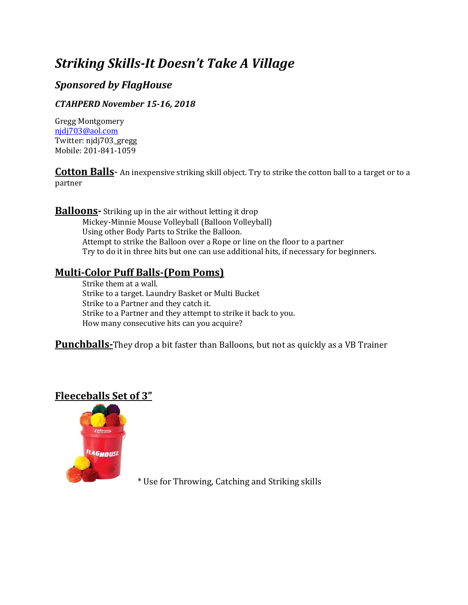# *Striking Skills-It Doesn't Take A Village*

# *Sponsored by FlagHouse*

#### *CTAHPERD November 15-16, 2018*

Gregg Montgomery [njdj703@aol.com](mailto:njdj703@aol.com) Twitter: njdj703\_gregg Mobile: 201-841-1059

**Cotton Balls**- An inexpensive striking skill object. Try to strike the cotton ball to a target or to a partner

**Balloons**- Striking up in the air without letting it drop Mickey-Minnie Mouse Volleyball (Balloon Volleyball) Using other Body Parts to Strike the Balloon. Attempt to strike the Balloon over a Rope or line on the floor to a partner Try to do it in three hits but one can use additional hits, if necessary for beginners.

## **Multi-Color Puff Balls-(Pom Poms)**

Strike them at a wall. Strike to a target. Laundry Basket or Multi Bucket Strike to a Partner and they catch it. Strike to a Partner and they attempt to strike it back to you. How many consecutive hits can you acquire?

**Punchballs-**They drop a bit faster than Balloons, but not as quickly as a VB Trainer

### **Fleeceballs Set of 3"**



\* Use for Throwing, Catching and Striking skills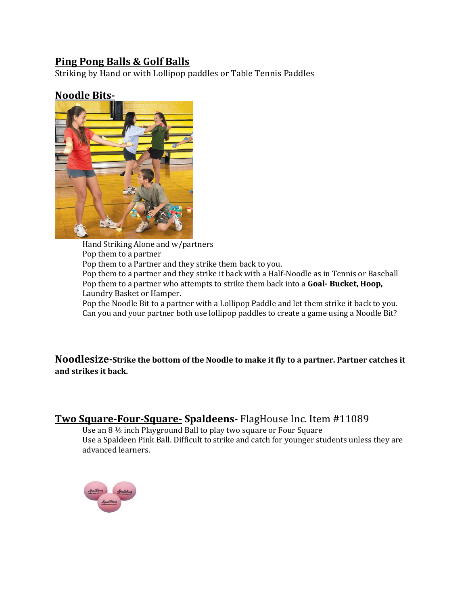### **Ping Pong Balls & Golf Balls**

Striking by Hand or with Lollipop paddles or Table Tennis Paddles

### **Noodle Bits-**



Hand Striking Alone and w/partners Pop them to a partner Pop them to a Partner and they strike them back to you. Pop them to a partner and they strike it back with a Half-Noodle as in Tennis or Baseball Pop them to a partner who attempts to strike them back into a **Goal- Bucket, Hoop,**  Laundry Basket or Hamper. Pop the Noodle Bit to a partner with a Lollipop Paddle and let them strike it back to you. Can you and your partner both use lollipop paddles to create a game using a Noodle Bit?

**Noodlesize-Strike the bottom of the Noodle to make it fly to a partner. Partner catches it and strikes it back.** 

### **Two Square-Four-Square- Spaldeens-** FlagHouse Inc. Item #11089

Use an 8 ½ inch Playground Ball to play two square or Four Square Use a Spaldeen Pink Ball. Difficult to strike and catch for younger students unless they are advanced learners.

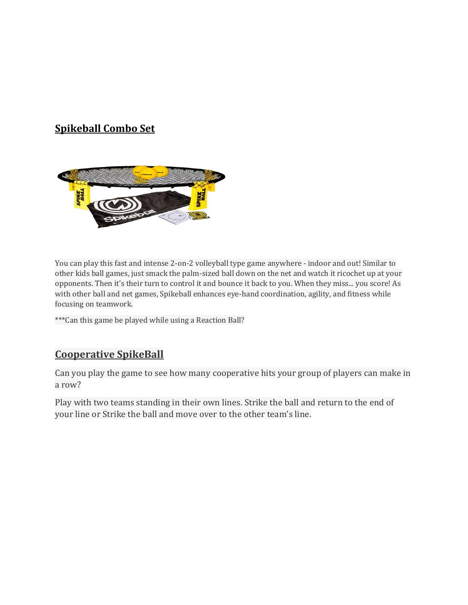# **Spikeball Combo Set**



You can play this fast and intense 2-on-2 volleyball type game anywhere - indoor and out! Similar to other kids ball games, just smack the palm-sized ball down on the net and watch it ricochet up at your opponents. Then it's their turn to control it and bounce it back to you. When they miss... you score! As with other ball and net games, Spikeball enhances eye-hand coordination, agility, and fitness while focusing on teamwork.

\*\*\*Can this game be played while using a Reaction Ball?

#### **Cooperative SpikeBall**

Can you play the game to see how many cooperative hits your group of players can make in a row?

Play with two teams standing in their own lines. Strike the ball and return to the end of your line or Strike the ball and move over to the other team's line.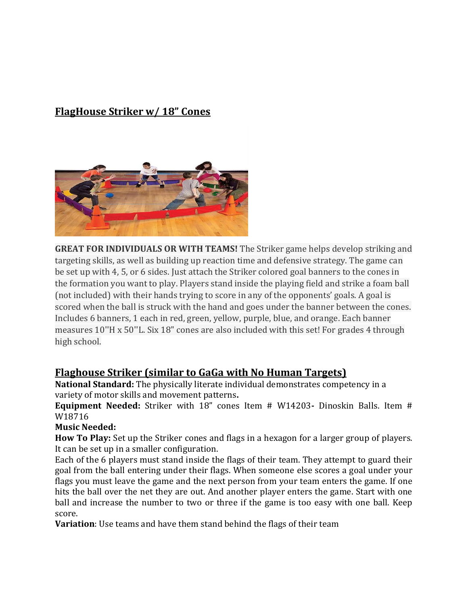### **FlagHouse Striker w/ 18" Cones**



**GREAT FOR INDIVIDUALS OR WITH TEAMS!** The Striker game helps develop striking and targeting skills, as well as building up reaction time and defensive strategy. The game can be set up with 4, 5, or 6 sides. Just attach the Striker colored goal banners to the cones in the formation you want to play. Players stand inside the playing field and strike a foam ball (not included) with their hands trying to score in any of the opponents' goals. A goal is scored when the ball is struck with the hand and goes under the banner between the cones. Includes 6 banners, 1 each in red, green, yellow, purple, blue, and orange. Each banner measures 10''H x 50''L. Six 18" cones are also included with this set! For grades 4 through high school.

#### **Flaghouse Striker (similar to GaGa with No Human Targets)**

**National Standard:** The physically literate individual demonstrates competency in a variety of motor skills and movement patterns**.**

**Equipment Needed:** Striker with 18" cones Item # W14203**-** Dinoskin Balls. Item # W18716

#### **Music Needed:**

**How To Play:** Set up the Striker cones and flags in a hexagon for a larger group of players. It can be set up in a smaller configuration.

Each of the 6 players must stand inside the flags of their team. They attempt to guard their goal from the ball entering under their flags. When someone else scores a goal under your flags you must leave the game and the next person from your team enters the game. If one hits the ball over the net they are out. And another player enters the game. Start with one ball and increase the number to two or three if the game is too easy with one ball. Keep score.

**Variation**: Use teams and have them stand behind the flags of their team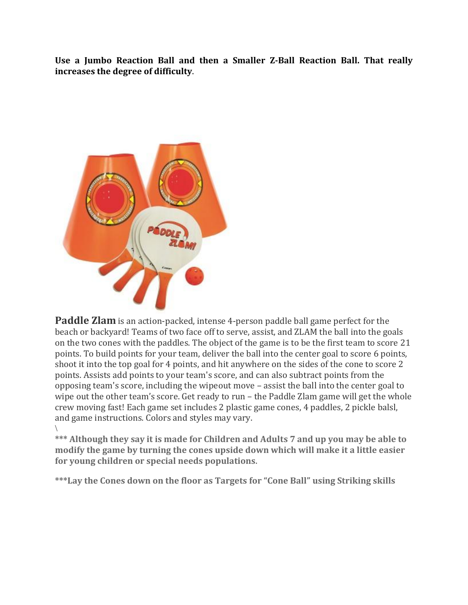**Use a Jumbo Reaction Ball and then a Smaller Z-Ball Reaction Ball. That really increases the degree of difficulty**.



**Paddle Zlam** is an action-packed, intense 4-person paddle ball game perfect for the beach or backyard! Teams of two face off to serve, assist, and ZLAM the ball into the goals on the two cones with the paddles. The object of the game is to be the first team to score 21 points. To build points for your team, deliver the ball into the center goal to score 6 points, shoot it into the top goal for 4 points, and hit anywhere on the sides of the cone to score 2 points. Assists add points to your team's score, and can also subtract points from the opposing team's score, including the wipeout move – assist the ball into the center goal to wipe out the other team's score. Get ready to run – the Paddle Zlam game will get the whole crew moving fast! Each game set includes 2 plastic game cones, 4 paddles, 2 pickle balsl, and game instructions. Colors and styles may vary.  $\backslash$ 

**\*\*\* Although they say it is made for Children and Adults 7 and up you may be able to modify the game by turning the cones upside down which will make it a little easier for young children or special needs populations.**

**\*\*\*Lay the Cones down on the floor as Targets for "Cone Ball" using Striking skills**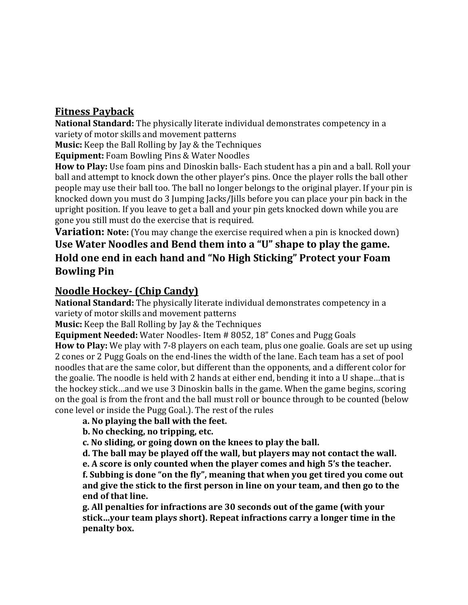### **Fitness Payback**

**National Standard:** The physically literate individual demonstrates competency in a variety of motor skills and movement patterns

**Music:** Keep the Ball Rolling by Jay & the Techniques

**Equipment:** Foam Bowling Pins & Water Noodles

**How to Play:** Use foam pins and Dinoskin balls- Each student has a pin and a ball. Roll your ball and attempt to knock down the other player's pins. Once the player rolls the ball other people may use their ball too. The ball no longer belongs to the original player. If your pin is knocked down you must do 3 Jumping Jacks/Jills before you can place your pin back in the upright position. If you leave to get a ball and your pin gets knocked down while you are gone you still must do the exercise that is required.

**Variation: Note:** (You may change the exercise required when a pin is knocked down) **Use Water Noodles and Bend them into a "U" shape to play the game. Hold one end in each hand and "No High Sticking" Protect your Foam Bowling Pin**

### **Noodle Hockey- (Chip Candy)**

**National Standard:** The physically literate individual demonstrates competency in a variety of motor skills and movement patterns

**Music:** Keep the Ball Rolling by Jay & the Techniques

**Equipment Needed:** Water Noodles- Item # 8052, 18" Cones and Pugg Goals

**How to Play:** We play with 7-8 players on each team, plus one goalie. Goals are set up using 2 cones or 2 Pugg Goals on the end-lines the width of the lane. Each team has a set of pool noodles that are the same color, but different than the opponents, and a different color for the goalie. The noodle is held with 2 hands at either end, bending it into a U shape…that is the hockey stick…and we use 3 Dinoskin balls in the game. When the game begins, scoring on the goal is from the front and the ball must roll or bounce through to be counted (below cone level or inside the Pugg Goal.). The rest of the rules

#### **a. No playing the ball with the feet.**

**b. No checking, no tripping, etc.**

**c. No sliding, or going down on the knees to play the ball.**

**d. The ball may be played off the wall, but players may not contact the wall.**

**e. A score is only counted when the player comes and high 5's the teacher. f. Subbing is done "on the fly", meaning that when you get tired you come out and give the stick to the first person in line on your team, and then go to the end of that line.**

**g. All penalties for infractions are 30 seconds out of the game (with your stick…your team plays short). Repeat infractions carry a longer time in the penalty box.**